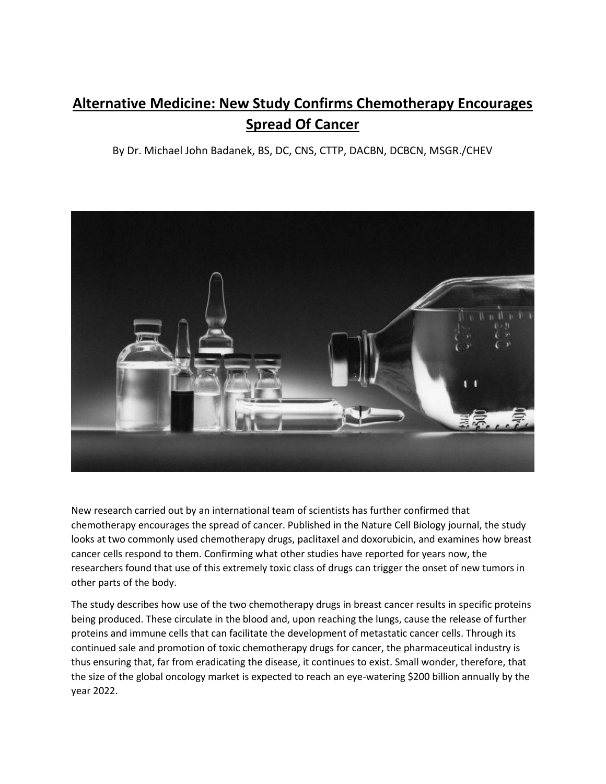## **Alternative Medicine: New Study Confirms Chemotherapy Encourages Spread Of Cancer**

By Dr. Michael John Badanek, BS, DC, CNS, CTTP, DACBN, DCBCN, MSGR./CHEV



New research carried out by an international team of scientists has further confirmed that chemotherapy encourages the spread of cancer. Published in the Nature Cell Biology journal, the study looks at two commonly used chemotherapy drugs, paclitaxel and doxorubicin, and examines how breast cancer cells respond to them. Confirming what other studies have reported for years now, the researchers found that use of this extremely toxic class of drugs can trigger the onset of new tumors in other parts of the body.

The study describes how use of the two chemotherapy drugs in breast cancer results in specific proteins being produced. These circulate in the blood and, upon reaching the lungs, cause the release of further proteins and immune cells that can facilitate the development of metastatic cancer cells. Through its continued sale and promotion of toxic chemotherapy drugs for cancer, the pharmaceutical industry is thus ensuring that, far from eradicating the disease, it continues to exist. Small wonder, therefore, that the size of the global oncology market is expected to reach an eye-watering \$200 billion annually by the year 2022.